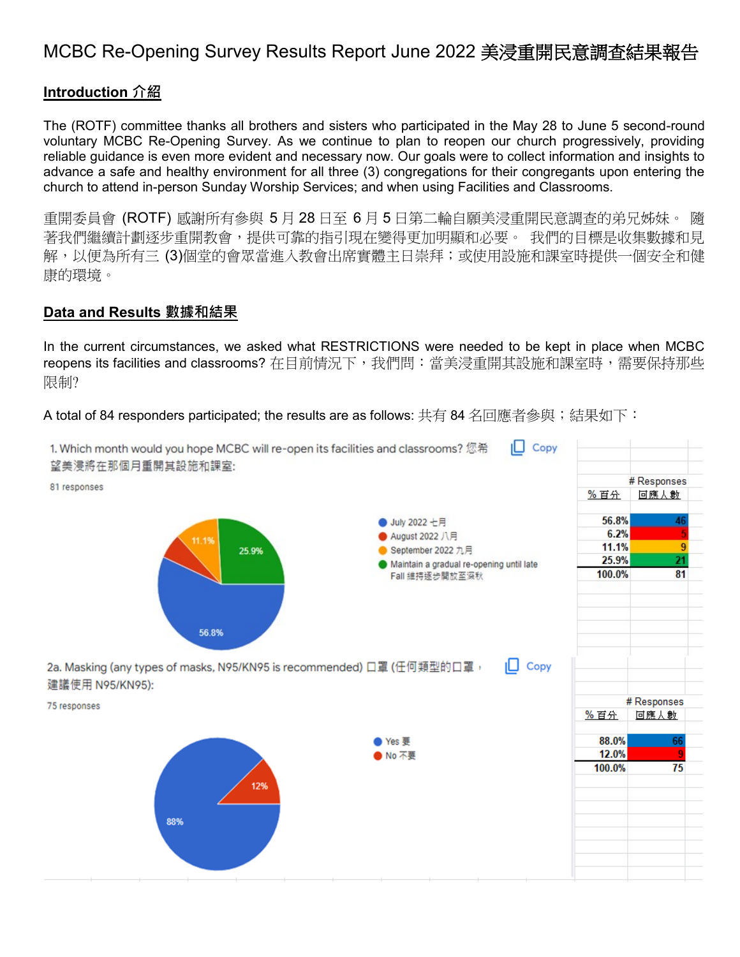# MCBC Re-Opening Survey Results Report June 2022 美浸重開民意調查結果報告

## **Introduction 介紹**

The (ROTF) committee thanks all brothers and sisters who participated in the May 28 to June 5 second-round voluntary MCBC Re-Opening Survey. As we continue to plan to reopen our church progressively, providing reliable guidance is even more evident and necessary now. Our goals were to collect information and insights to advance a safe and healthy environment for all three (3) congregations for their congregants upon entering the church to attend in-person Sunday Worship Services; and when using Facilities and Classrooms.

重開委員會 (ROTF) 感謝所有參與 5 月 28 日至 6 月 5 日第二輪自願美浸重開民意調查的弟兄姊妹。 隨 著我們繼續計劃逐步重開教會,提供可靠的指引現在變得更加明顯和必要。 我們的目標是收集數據和見 解,以便為所有三 (3)個堂的會眾當進入教會出席實體主日崇拜;或使用設施和課室時提供一個安全和健 康的環境。

#### **Data and Results 數據和結果**

In the current circumstances, we asked what RESTRICTIONS were needed to be kept in place when MCBC reopens its facilities and classrooms? 在目前情况下,我們問:當美浸重開其設施和課室時,需要保持那些 限制?

A total of 84 responders participated; the results are as follows: 共有 84 名回應者參與;結果如下:

| 1. Which month would you hope MCBC will re-open its facilities and classrooms? 您希<br>望美浸將在那個月重開其設施和課室: | Copy                                                                                                                |                                           |                                  |  |
|--------------------------------------------------------------------------------------------------------|---------------------------------------------------------------------------------------------------------------------|-------------------------------------------|----------------------------------|--|
| 81 responses                                                                                           |                                                                                                                     | # Responses                               |                                  |  |
|                                                                                                        |                                                                                                                     | %百分                                       | 回應人數                             |  |
| 11.1%<br>25.9%<br>56.8%                                                                                | ● July 2022 七月<br>August 2022 八月<br>September 2022 九月<br>Maintain a gradual re-opening until late<br>Fall 維持逐步開放至深秋 | 56.8%<br>6.2%<br>11.1%<br>25.9%<br>100.0% | 46<br>9<br>$\overline{21}$<br>81 |  |
| 2a. Masking (any types of masks, N95/KN95 is recommended) 口罩 (任何類型的口罩,<br>建議使用 N95/KN95):              | Copy<br>ıΠ                                                                                                          |                                           |                                  |  |
| 75 responses                                                                                           |                                                                                                                     |                                           | # Responses                      |  |
|                                                                                                        |                                                                                                                     | %百分                                       | 回應人數                             |  |
| 12%<br>88%                                                                                             | ● Yes 要<br>● No 不要                                                                                                  | 88.0%<br>12.0%<br>100.0%                  | 66<br>9<br>75                    |  |
|                                                                                                        |                                                                                                                     |                                           |                                  |  |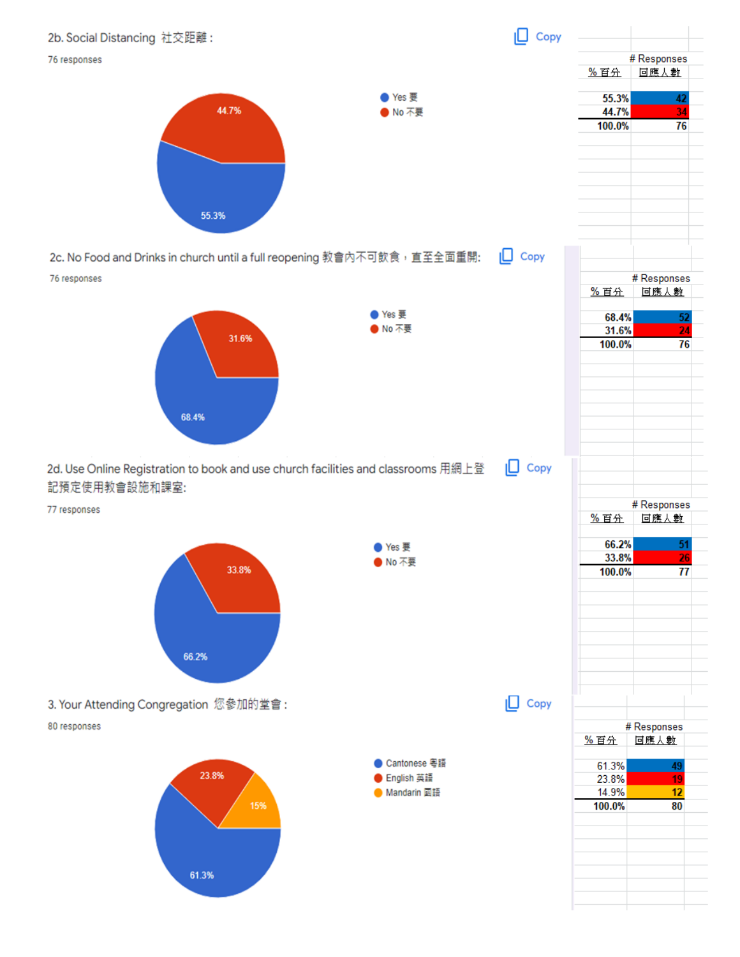